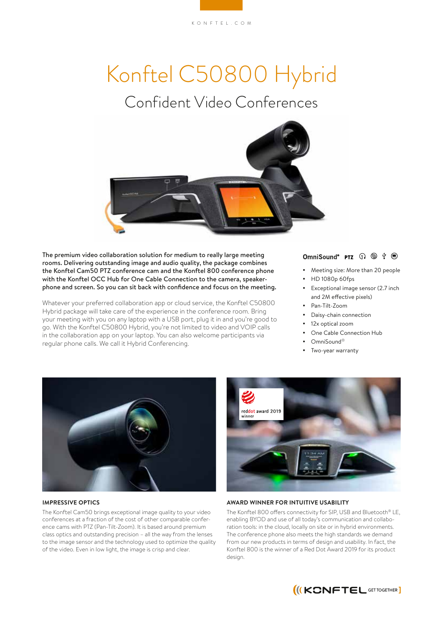# Konftel C50800 Hybrid

## Confident Video Conferences



The premium video collaboration solution for medium to really large meeting rooms. Delivering outstanding image and audio quality, the package combines the Konftel Cam50 PTZ conference cam and the Konftel 800 conference phone with the Konftel OCC Hub for One Cable Connection to the camera, speakerphone and screen. So you can sit back with confidence and focus on the meeting.

Whatever your preferred collaboration app or cloud service, the Konftel C50800 Hybrid package will take care of the experience in the conference room. Bring your meeting with you on any laptop with a USB port, plug it in and you're good to go. With the Konftel C50800 Hybrid, you're not limited to video and VOIP calls in the collaboration app on your laptop. You can also welcome participants via regular phone calls. We call it Hybrid Conferencing.

#### OmniSound<sup>®</sup> PTZ  $\bigcap$   $\circledcirc$   $\psi$   $\circledcirc$

- Meeting size: More than 20 people
- y HD 1080p 60fps
- Exceptional image sensor (2.7 inch and 2M effective pixels)
- Pan-Tilt-Zoom
- Daisy-chain connection
- 12x optical zoom
- One Cable Connection Hub
- OmniSound®
- Two-year warranty



#### **IMPRESSIVE OPTICS**

The Konftel Cam50 brings exceptional image quality to your video conferences at a fraction of the cost of other comparable conference cams with PTZ (Pan-Tilt-Zoom). It is based around premium class optics and outstanding precision – all the way from the lenses to the image sensor and the technology used to optimize the quality of the video. Even in low light, the image is crisp and clear.



#### **AWARD WINNER FOR INTUITIVE USABILITY**

The Konftel 800 offers connectivity for SIP, USB and Bluetooth® LE, enabling BYOD and use of all today's communication and collaboration tools: in the cloud, locally on site or in hybrid environments. The conference phone also meets the high standards we demand from our new products in terms of design and usability. In fact, the Konftel 800 is the winner of a Red Dot Award 2019 for its product design.